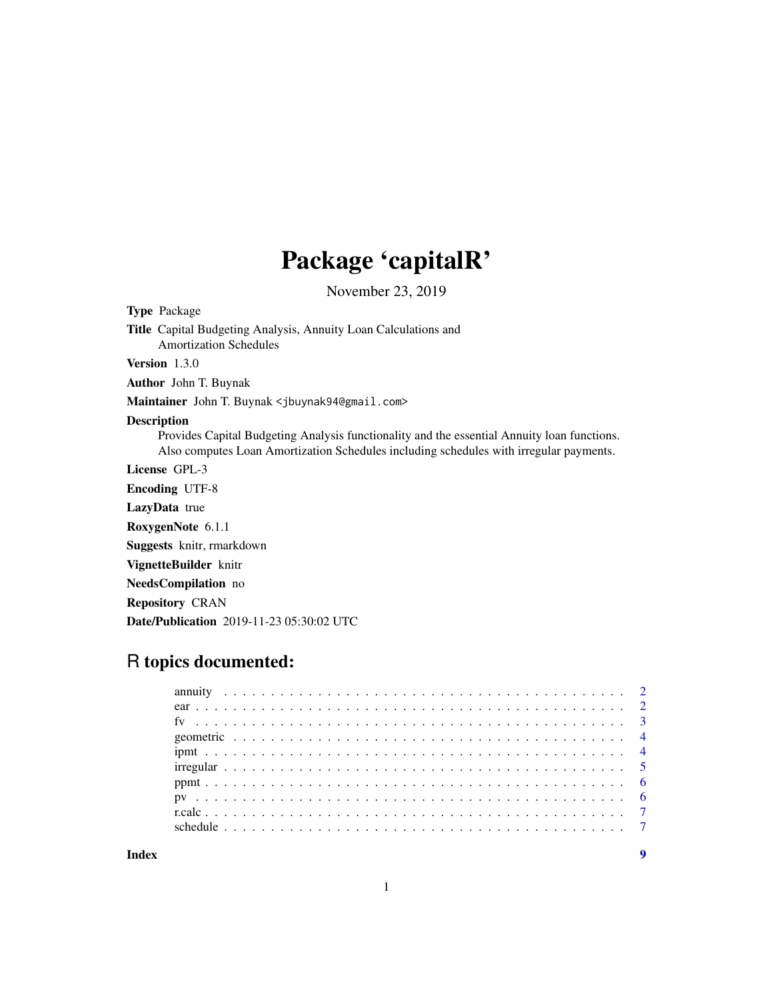## Package 'capitalR'

November 23, 2019

Type Package

Title Capital Budgeting Analysis, Annuity Loan Calculations and Amortization Schedules

Version 1.3.0

Author John T. Buynak

Maintainer John T. Buynak <jbuynak94@gmail.com>

#### Description

Provides Capital Budgeting Analysis functionality and the essential Annuity loan functions. Also computes Loan Amortization Schedules including schedules with irregular payments.

License GPL-3

Encoding UTF-8

LazyData true

RoxygenNote 6.1.1

Suggests knitr, rmarkdown

VignetteBuilder knitr

NeedsCompilation no

Repository CRAN

Date/Publication 2019-11-23 05:30:02 UTC

## R topics documented: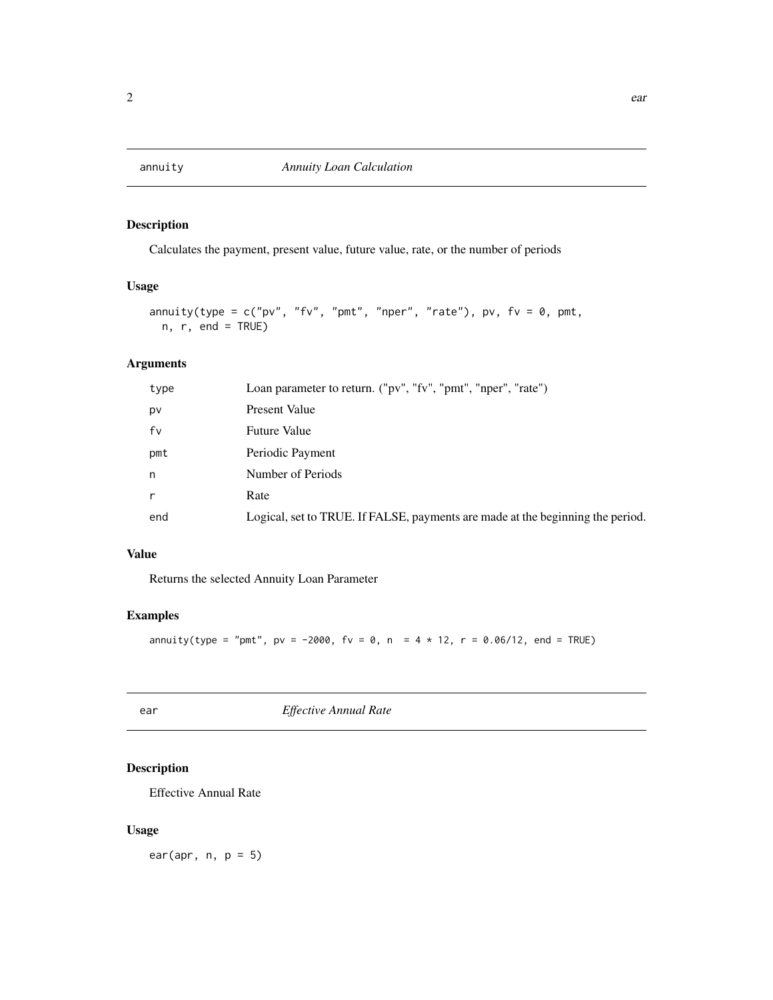#### <span id="page-1-0"></span>Description

Calculates the payment, present value, future value, rate, or the number of periods

#### Usage

```
annuity(type = c("pv", "fv", "pmt", "nper", "rate"), pv, fv = 0, pmt,n, r, end = TRUE)
```
#### Arguments

| type         | Loan parameter to return. ("pv", "fv", "pmt", "nper", "rate")                  |
|--------------|--------------------------------------------------------------------------------|
| pv           | Present Value                                                                  |
| fv           | <b>Future Value</b>                                                            |
| pmt          | Periodic Payment                                                               |
| n            | Number of Periods                                                              |
| $\mathsf{r}$ | Rate                                                                           |
| end          | Logical, set to TRUE. If FALSE, payments are made at the beginning the period. |

#### Value

Returns the selected Annuity Loan Parameter

#### Examples

annuity(type = "pmt",  $pv = -2000$ ,  $fv = 0$ ,  $n = 4 * 12$ ,  $r = 0.06/12$ , end = TRUE)

| -<br>., | ٠<br>×<br>r<br>$-$ |
|---------|--------------------|
|         |                    |

ear *Effective Annual Rate*

#### Description

Effective Annual Rate

## Usage

ear(apr,  $n, p = 5$ )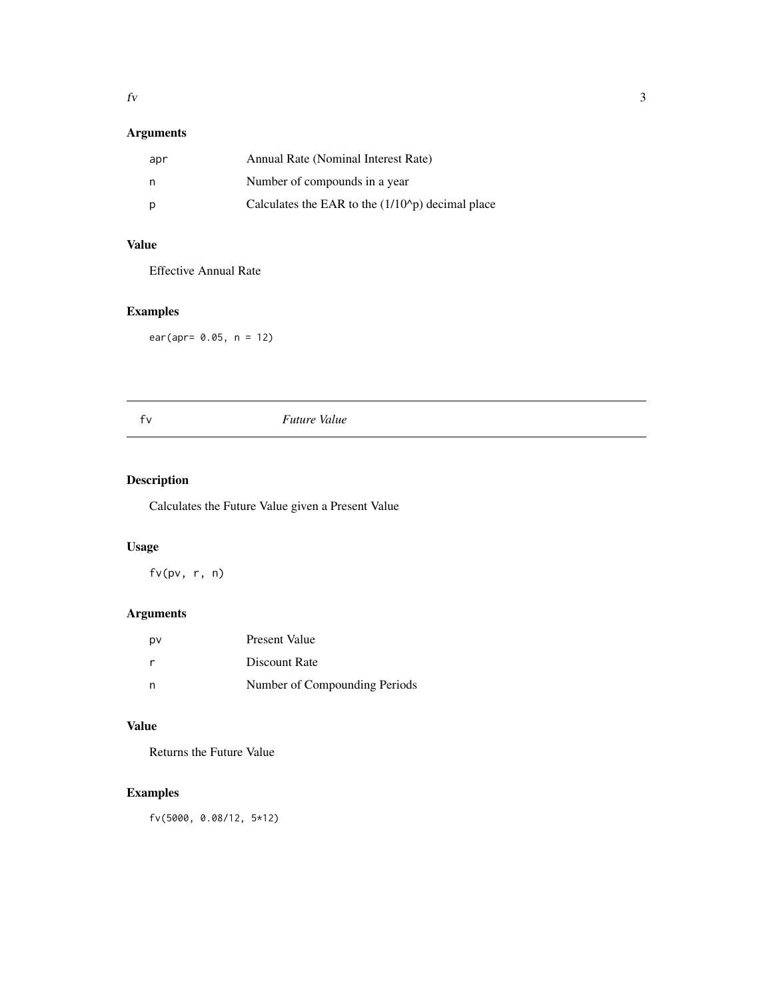## <span id="page-2-0"></span>Arguments

| apr | Annual Rate (Nominal Interest Rate)                       |
|-----|-----------------------------------------------------------|
| n   | Number of compounds in a year                             |
|     | Calculates the EAR to the $(1/10^{\circ}p)$ decimal place |

## Value

Effective Annual Rate

## Examples

ear(apr= 0.05, n = 12)

#### fv *Future Value*

## Description

Calculates the Future Value given a Present Value

#### Usage

fv(pv, r, n)

## Arguments

| pv           | Present Value                 |
|--------------|-------------------------------|
| <sub>r</sub> | Discount Rate                 |
|              | Number of Compounding Periods |

#### Value

Returns the Future Value

## Examples

fv(5000, 0.08/12, 5\*12)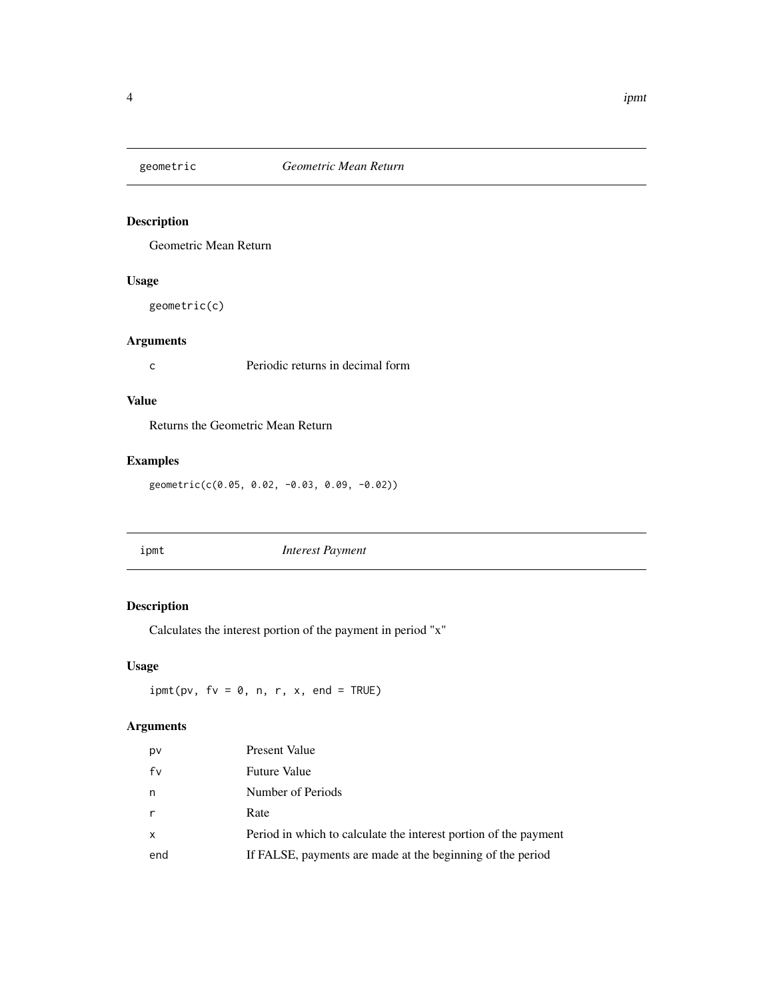<span id="page-3-0"></span>

#### Description

Geometric Mean Return

#### Usage

geometric(c)

#### Arguments

c Periodic returns in decimal form

#### Value

Returns the Geometric Mean Return

## Examples

geometric(c(0.05, 0.02, -0.03, 0.09, -0.02))

ipmt *Interest Payment*

## Description

Calculates the interest portion of the payment in period "x"

## Usage

 $ipmt(pv, fv = 0, n, r, x, end = TRUE)$ 

#### Arguments

| pv  | Present Value                                                    |
|-----|------------------------------------------------------------------|
| fv  | <b>Future Value</b>                                              |
| n   | Number of Periods                                                |
| r   | Rate                                                             |
| x   | Period in which to calculate the interest portion of the payment |
| end | If FALSE, payments are made at the beginning of the period       |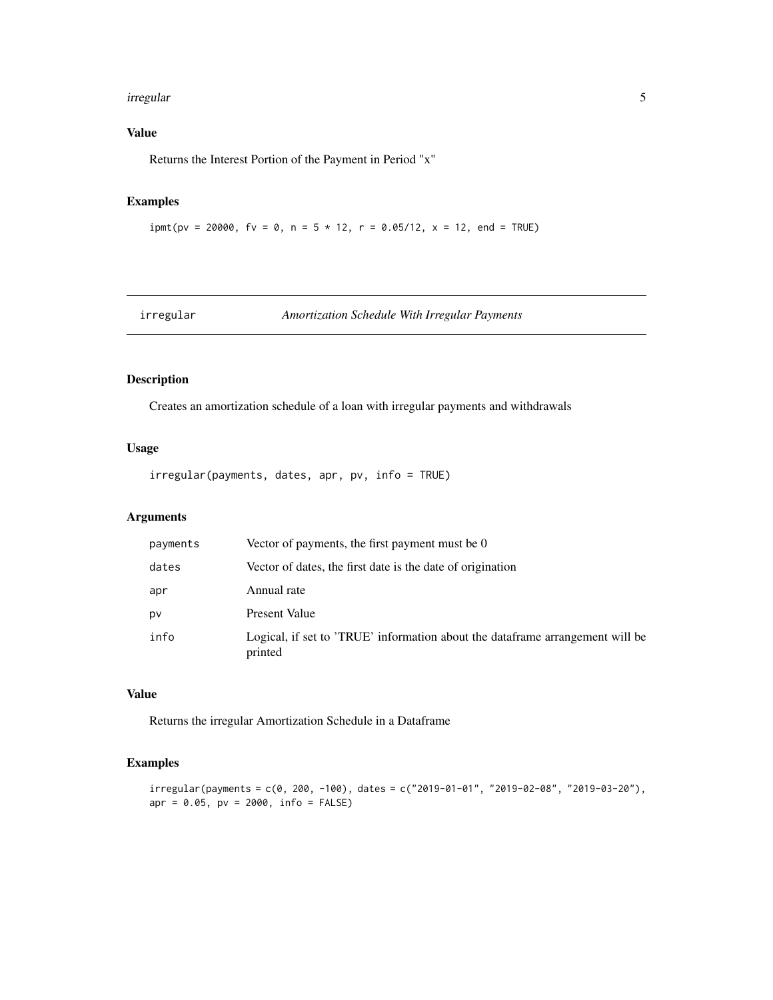#### <span id="page-4-0"></span>irregular 5

## Value

Returns the Interest Portion of the Payment in Period "x"

## Examples

```
ipmt(pv = 20000, fv = 0, n = 5 * 12, r = 0.05/12, x = 12, end = TRUE)
```
irregular *Amortization Schedule With Irregular Payments*

#### Description

Creates an amortization schedule of a loan with irregular payments and withdrawals

#### Usage

irregular(payments, dates, apr, pv, info = TRUE)

#### Arguments

| payments | Vector of payments, the first payment must be 0                                          |
|----------|------------------------------------------------------------------------------------------|
| dates    | Vector of dates, the first date is the date of origination                               |
| apr      | Annual rate                                                                              |
| pv       | Present Value                                                                            |
| info     | Logical, if set to 'TRUE' information about the dataframe arrangement will be<br>printed |

#### Value

Returns the irregular Amortization Schedule in a Dataframe

#### Examples

```
irregular(payments = c(0, 200, -100), dates = c("2019-01-01", "2019-02-08", "2019-03-20"),apr = 0.05, pv = 2000, info = FALSE)
```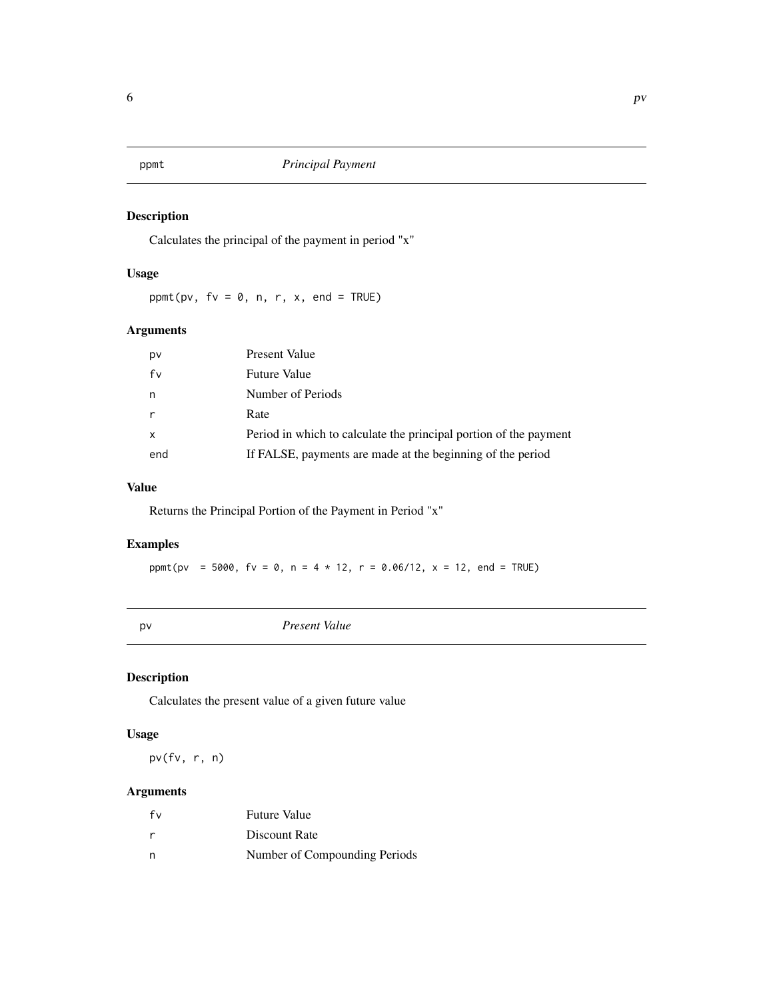<span id="page-5-0"></span>

#### Description

Calculates the principal of the payment in period "x"

#### Usage

ppmt(pv,  $fv = 0$ , n, r, x, end = TRUE)

#### Arguments

| pv  | Present Value                                                     |
|-----|-------------------------------------------------------------------|
| fv  | <b>Future Value</b>                                               |
| n   | Number of Periods                                                 |
| r   | Rate                                                              |
| X   | Period in which to calculate the principal portion of the payment |
| end | If FALSE, payments are made at the beginning of the period        |

## Value

Returns the Principal Portion of the Payment in Period "x"

## Examples

ppmt(pv = 5000, fv = 0, n = 4 \* 12, r = 0.06/12, x = 12, end = TRUE)

pv *Present Value*

#### Description

Calculates the present value of a given future value

#### Usage

pv(fv, r, n)

## Arguments

| fv | <b>Future Value</b>           |
|----|-------------------------------|
| r  | Discount Rate                 |
| n  | Number of Compounding Periods |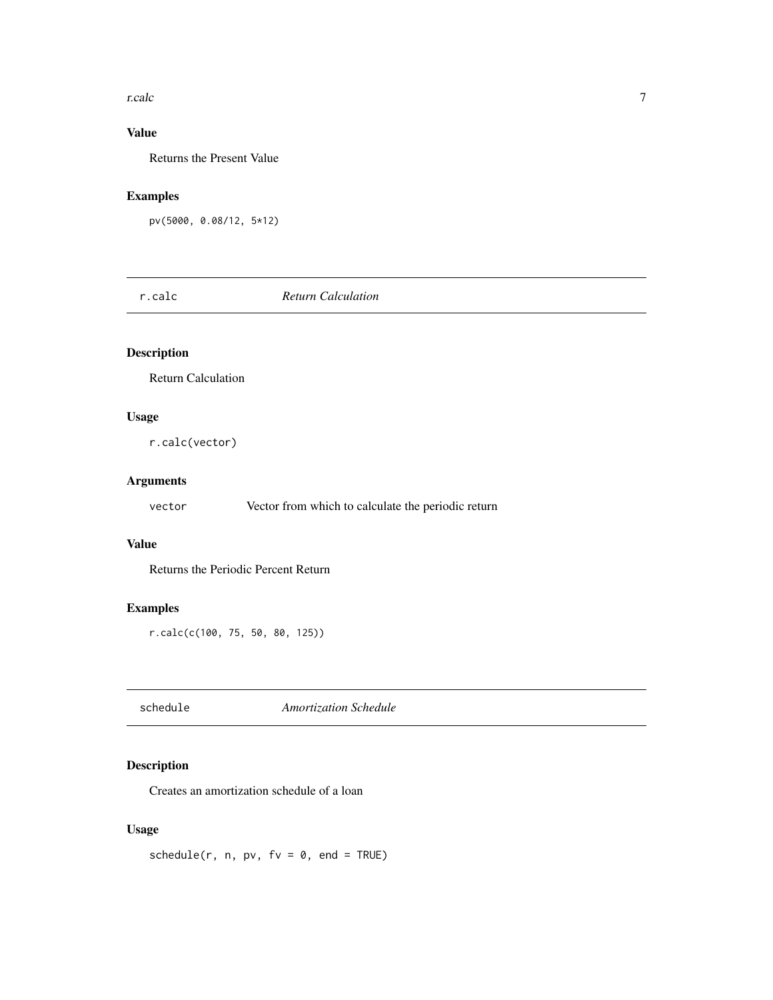#### <span id="page-6-0"></span>r.calc 7

## Value

Returns the Present Value

#### Examples

```
pv(5000, 0.08/12, 5*12)
```
r.calc *Return Calculation*

#### Description

Return Calculation

#### Usage

r.calc(vector)

## Arguments

vector Vector from which to calculate the periodic return

#### Value

Returns the Periodic Percent Return

#### Examples

r.calc(c(100, 75, 50, 80, 125))

schedule *Amortization Schedule*

## Description

Creates an amortization schedule of a loan

## Usage

 $schedule(r, n, pv, fv = 0, end = TRUE)$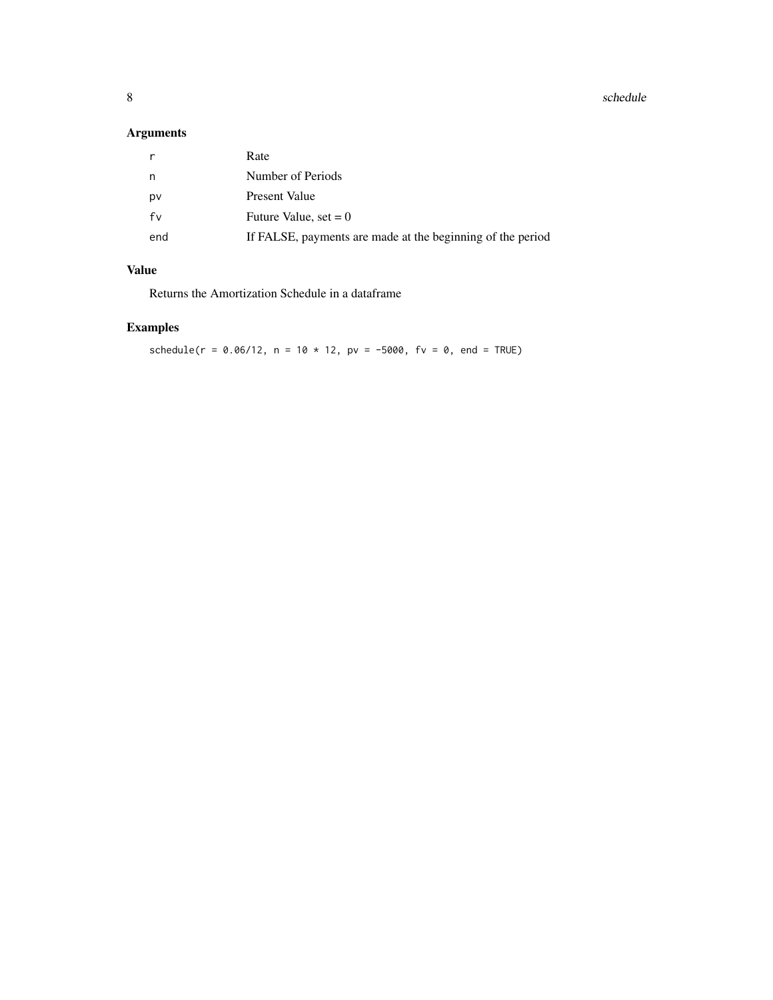#### 8 schedule et al. 2012 schedule et al. 2013 schedule et al. 2013 schedule et al. 2014 schedule et al. 2014 schedule

## Arguments

|     | Rate                                                       |
|-----|------------------------------------------------------------|
| n   | Number of Periods                                          |
| p٧  | Present Value                                              |
| fv  | Future Value, set $= 0$                                    |
| end | If FALSE, payments are made at the beginning of the period |
|     |                                                            |

#### Value

Returns the Amortization Schedule in a dataframe

## Examples

 $schedule(r = 0.06/12, n = 10 * 12, pv = -5000, fv = 0, end = TRUE)$